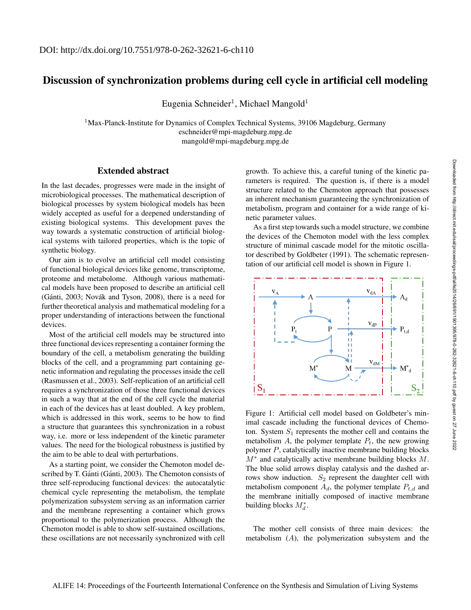## Discussion of synchronization problems during cell cycle in artificial cell modeling

Eugenia Schneider<sup>1</sup>, Michael Mangold<sup>1</sup>

 $1$ Max-Planck-Institute for Dynamics of Complex Technical Systems, 39106 Magdeburg, Germany eschneider@mpi-magdeburg.mpg.de mangold@mpi-magdeburg.mpg.de

## Extended abstract

In the last decades, progresses were made in the insight of microbiological processes. The mathematical description of biological processes by system biological models has been widely accepted as useful for a deepened understanding of existing biological systems. This development paves the way towards a systematic construction of artificial biological systems with tailored properties, which is the topic of synthetic biology.

Our aim is to evolve an artificial cell model consisting of functional biological devices like genome, transcriptome, proteome and metabolome. Although various mathematical models have been proposed to describe an artificial cell (Gánti, 2003; Novák and Tyson, 2008), there is a need for further theoretical analysis and mathematical modeling for a proper understanding of interactions between the functional devices.

Most of the artificial cell models may be structured into three functional devices representing a container forming the boundary of the cell, a metabolism generating the building blocks of the cell, and a programming part containing genetic information and regulating the processes inside the cell (Rasmussen et al., 2003). Self-replication of an artificial cell requires a synchronization of those three functional devices in such a way that at the end of the cell cycle the material in each of the devices has at least doubled. A key problem, which is addressed in this work, seems to be how to find a structure that guarantees this synchronization in a robust way, i.e. more or less independent of the kinetic parameter values. The need for the biological robustness is justified by the aim to be able to deal with perturbations.

As a starting point, we consider the Chemoton model described by T. Gánti (Gánti, 2003). The Chemoton consists of three self-reproducing functional devices: the autocatalytic chemical cycle representing the metabolism, the template polymerization subsystem serving as an information carrier and the membrane representing a container which grows proportional to the polymerization process. Although the Chemoton model is able to show self-sustained oscillations, these oscillations are not necessarily synchronized with cell

growth. To achieve this, a careful tuning of the kinetic parameters is required. The question is, if there is a model structure related to the Chemoton approach that possesses an inherent mechanism guaranteeing the synchronization of metabolism, program and container for a wide range of kinetic parameter values.

As a first step towards such a model structure, we combine the devices of the Chemoton model with the less complex structure of minimal cascade model for the mitotic oscillator described by Goldbeter (1991). The schematic representation of our artificial cell model is shown in Figure 1.



Figure 1: Artificial cell model based on Goldbeter's minimal cascade including the functional devices of Chemoton. System  $S_1$  represents the mother cell and contains the metabolism  $A$ , the polymer template  $P_t$ , the new growing polymer P, catalytically inactive membrane building blocks  $M^*$  and catalytically active membrane building blocks M. The blue solid arrows display catalysis and the dashed arrows show induction.  $S_2$  represent the daughter cell with metabolism component  $A_d$ , the polymer template  $P_{t,d}$  and the membrane initially composed of inactive membrane building blocks  $M_d^*$ .

The mother cell consists of three main devices: the metabolism (A), the polymerization subsystem and the